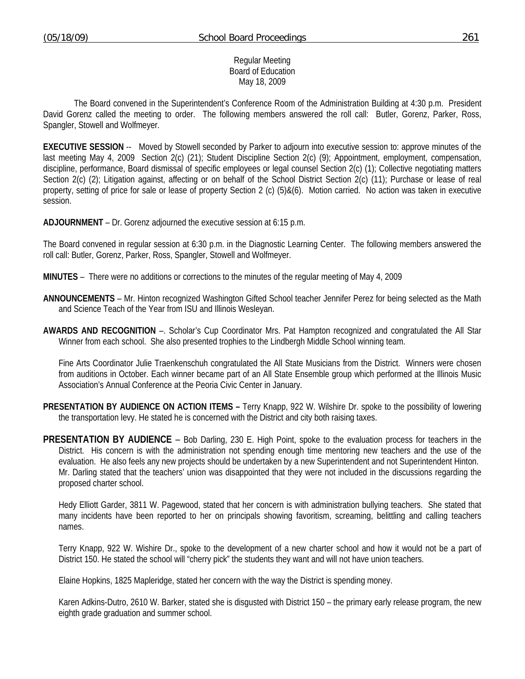#### Regular Meeting Board of Education May 18, 2009

 The Board convened in the Superintendent's Conference Room of the Administration Building at 4:30 p.m. President David Gorenz called the meeting to order. The following members answered the roll call: Butler, Gorenz, Parker, Ross, Spangler, Stowell and Wolfmeyer.

**EXECUTIVE SESSION** -- Moved by Stowell seconded by Parker to adjourn into executive session to: approve minutes of the last meeting May 4, 2009 Section 2(c) (21); Student Discipline Section 2(c) (9); Appointment, employment, compensation, discipline, performance, Board dismissal of specific employees or legal counsel Section 2(c) (1); Collective negotiating matters Section 2(c) (2); Litigation against, affecting or on behalf of the School District Section 2(c) (11); Purchase or lease of real property, setting of price for sale or lease of property Section 2 (c) (5)&(6). Motion carried. No action was taken in executive session.

**ADJOURNMENT** – Dr. Gorenz adjourned the executive session at 6:15 p.m.

The Board convened in regular session at 6:30 p.m. in the Diagnostic Learning Center. The following members answered the roll call: Butler, Gorenz, Parker, Ross, Spangler, Stowell and Wolfmeyer.

**MINUTES** – There were no additions or corrections to the minutes of the regular meeting of May 4, 2009

- **ANNOUNCEMENTS** Mr. Hinton recognized Washington Gifted School teacher Jennifer Perez for being selected as the Math and Science Teach of the Year from ISU and Illinois Wesleyan.
- **AWARDS AND RECOGNITION** –. Scholar's Cup Coordinator Mrs. Pat Hampton recognized and congratulated the All Star Winner from each school. She also presented trophies to the Lindbergh Middle School winning team.

 Fine Arts Coordinator Julie Traenkenschuh congratulated the All State Musicians from the District. Winners were chosen from auditions in October. Each winner became part of an All State Ensemble group which performed at the Illinois Music Association's Annual Conference at the Peoria Civic Center in January.

- **PRESENTATION BY AUDIENCE ON ACTION ITEMS** Terry Knapp, 922 W. Wilshire Dr. spoke to the possibility of lowering the transportation levy. He stated he is concerned with the District and city both raising taxes.
- **PRESENTATION BY AUDIENCE** Bob Darling, 230 E. High Point, spoke to the evaluation process for teachers in the District. His concern is with the administration not spending enough time mentoring new teachers and the use of the evaluation. He also feels any new projects should be undertaken by a new Superintendent and not Superintendent Hinton. Mr. Darling stated that the teachers' union was disappointed that they were not included in the discussions regarding the proposed charter school.

 Hedy Elliott Garder, 3811 W. Pagewood, stated that her concern is with administration bullying teachers. She stated that many incidents have been reported to her on principals showing favoritism, screaming, belittling and calling teachers names.

 Terry Knapp, 922 W. Wishire Dr., spoke to the development of a new charter school and how it would not be a part of District 150. He stated the school will "cherry pick" the students they want and will not have union teachers.

Elaine Hopkins, 1825 Mapleridge, stated her concern with the way the District is spending money.

 Karen Adkins-Dutro, 2610 W. Barker, stated she is disgusted with District 150 – the primary early release program, the new eighth grade graduation and summer school.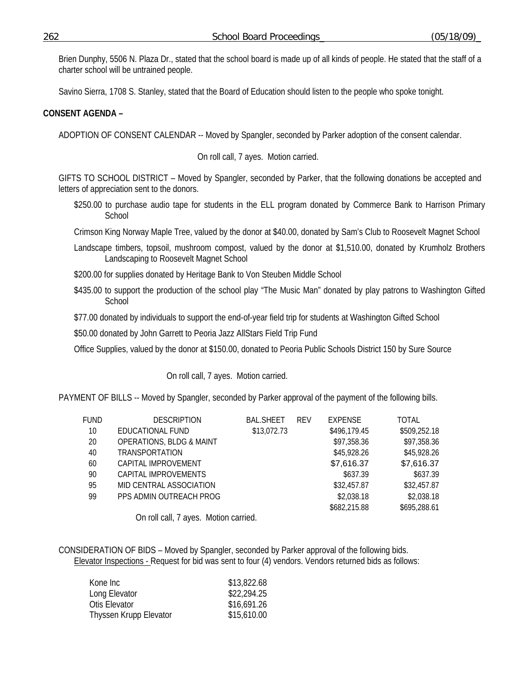Brien Dunphy, 5506 N. Plaza Dr., stated that the school board is made up of all kinds of people. He stated that the staff of a charter school will be untrained people.

Savino Sierra, 1708 S. Stanley, stated that the Board of Education should listen to the people who spoke tonight.

# **CONSENT AGENDA –**

ADOPTION OF CONSENT CALENDAR -- Moved by Spangler, seconded by Parker adoption of the consent calendar.

On roll call, 7 ayes. Motion carried.

GIFTS TO SCHOOL DISTRICT – Moved by Spangler, seconded by Parker, that the following donations be accepted and letters of appreciation sent to the donors.

\$250.00 to purchase audio tape for students in the ELL program donated by Commerce Bank to Harrison Primary **School** 

Crimson King Norway Maple Tree, valued by the donor at \$40.00, donated by Sam's Club to Roosevelt Magnet School

- Landscape timbers, topsoil, mushroom compost, valued by the donor at \$1,510.00, donated by Krumholz Brothers Landscaping to Roosevelt Magnet School
- \$200.00 for supplies donated by Heritage Bank to Von Steuben Middle School
- \$435.00 to support the production of the school play "The Music Man" donated by play patrons to Washington Gifted **School**

\$77.00 donated by individuals to support the end-of-year field trip for students at Washington Gifted School

\$50.00 donated by John Garrett to Peoria Jazz AllStars Field Trip Fund

Office Supplies, valued by the donor at \$150.00, donated to Peoria Public Schools District 150 by Sure Source

On roll call, 7 ayes. Motion carried.

PAYMENT OF BILLS -- Moved by Spangler, seconded by Parker approval of the payment of the following bills.

| FUND | <b>DESCRIPTION</b>                  | <b>BAL.SHEET</b> | <b>RFV</b> | <b>EXPENSE</b> | <b>TOTAL</b> |
|------|-------------------------------------|------------------|------------|----------------|--------------|
| 10   | EDUCATIONAL FUND                    | \$13,072.73      |            | \$496,179.45   | \$509,252.18 |
| 20   | <b>OPERATIONS, BLDG &amp; MAINT</b> |                  |            | \$97,358.36    | \$97,358.36  |
| 40   | <b>TRANSPORTATION</b>               |                  |            | \$45,928.26    | \$45,928.26  |
| 60   | CAPITAL IMPROVEMENT                 |                  |            | \$7,616.37     | \$7,616.37   |
| 90   | CAPITAL IMPROVEMENTS                |                  |            | \$637.39       | \$637.39     |
| 95   | MID CENTRAL ASSOCIATION             |                  |            | \$32,457.87    | \$32,457.87  |
| 99   | PPS ADMIN OUTREACH PROG             |                  |            | \$2,038.18     | \$2,038.18   |
|      |                                     |                  |            | \$682,215.88   | \$695,288.61 |

On roll call, 7 ayes. Motion carried.

CONSIDERATION OF BIDS – Moved by Spangler, seconded by Parker approval of the following bids. Elevator Inspections - Request for bid was sent to four (4) vendors. Vendors returned bids as follows:

| Kone Inc               | \$13,822.68 |
|------------------------|-------------|
| Long Elevator          | \$22,294.25 |
| Otis Elevator          | \$16,691.26 |
| Thyssen Krupp Elevator | \$15,610.00 |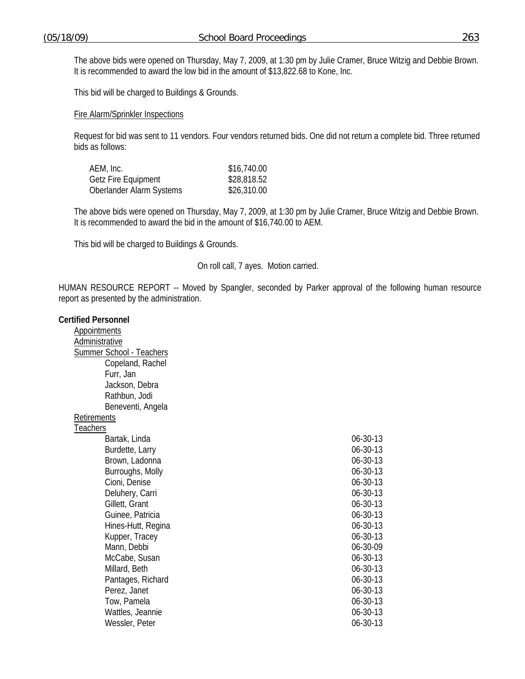The above bids were opened on Thursday, May 7, 2009, at 1:30 pm by Julie Cramer, Bruce Witzig and Debbie Brown. It is recommended to award the low bid in the amount of \$13,822.68 to Kone, Inc.

This bid will be charged to Buildings & Grounds.

#### Fire Alarm/Sprinkler Inspections

Request for bid was sent to 11 vendors. Four vendors returned bids. One did not return a complete bid. Three returned bids as follows:

| AEM, Inc.                  | \$16,740.00 |
|----------------------------|-------------|
| <b>Getz Fire Equipment</b> | \$28,818.52 |
| Oberlander Alarm Systems   | \$26,310.00 |

The above bids were opened on Thursday, May 7, 2009, at 1:30 pm by Julie Cramer, Bruce Witzig and Debbie Brown. It is recommended to award the bid in the amount of \$16,740.00 to AEM.

This bid will be charged to Buildings & Grounds.

On roll call, 7 ayes. Motion carried.

HUMAN RESOURCE REPORT -- Moved by Spangler, seconded by Parker approval of the following human resource report as presented by the administration.

#### **Certified Personnel**

**Appointments**  Administrative Summer School - Teachers Copeland, Rachel Furr, Jan Jackson, Debra Rathbun, Jodi Beneventi, Angela **Retirements** 

**Teachers** 

| 06-30-13 |
|----------|
| 06-30-13 |
| 06-30-13 |
| 06-30-13 |
| 06-30-13 |
| 06-30-13 |
| 06-30-13 |
| 06-30-13 |
| 06-30-13 |
| 06-30-13 |
| 06-30-09 |
| 06-30-13 |
| 06-30-13 |
| 06-30-13 |
| 06-30-13 |
| 06-30-13 |
| 06-30-13 |
| 06-30-13 |
|          |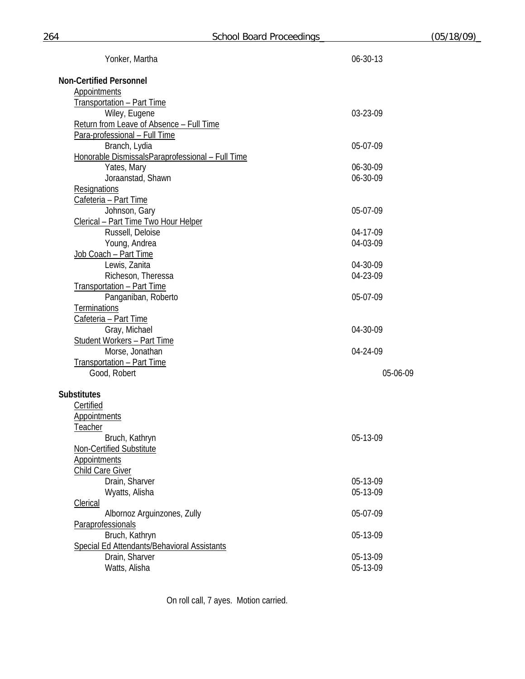| Yonker, Martha                                   | 06-30-13 |
|--------------------------------------------------|----------|
| <b>Non-Certified Personnel</b>                   |          |
| Appointments                                     |          |
| Transportation - Part Time                       |          |
| Wiley, Eugene                                    | 03-23-09 |
| Return from Leave of Absence - Full Time         |          |
| Para-professional - Full Time                    |          |
| Branch, Lydia                                    | 05-07-09 |
| Honorable DismissalsParaprofessional - Full Time |          |
| Yates, Mary                                      | 06-30-09 |
| Joraanstad, Shawn                                | 06-30-09 |
| <b>Resignations</b>                              |          |
| Cafeteria - Part Time                            |          |
| Johnson, Gary                                    | 05-07-09 |
| Clerical - Part Time Two Hour Helper             |          |
| Russell, Deloise                                 | 04-17-09 |
| Young, Andrea                                    | 04-03-09 |
| Job Coach - Part Time                            |          |
| Lewis, Zanita                                    | 04-30-09 |
| Richeson, Theressa                               | 04-23-09 |
| Transportation - Part Time                       |          |
| Panganiban, Roberto                              | 05-07-09 |
| <b>Terminations</b>                              |          |
| Cafeteria - Part Time                            |          |
| Gray, Michael                                    | 04-30-09 |
| <b>Student Workers - Part Time</b>               |          |
| Morse, Jonathan                                  | 04-24-09 |
| Transportation - Part Time                       |          |
| Good, Robert                                     | 05-06-09 |
| <b>Substitutes</b>                               |          |
| Certified                                        |          |
| <b>Appointments</b>                              |          |
| <b>Teacher</b>                                   |          |
| Bruch, Kathryn                                   | 05-13-09 |
| Non-Certified Substitute                         |          |
| <b>Appointments</b>                              |          |
| <b>Child Care Giver</b>                          |          |
| Drain, Sharver                                   | 05-13-09 |
| Wyatts, Alisha                                   | 05-13-09 |
| <b>Clerical</b>                                  |          |
| Albornoz Arguinzones, Zully                      | 05-07-09 |
| Paraprofessionals                                |          |
| Bruch, Kathryn                                   | 05-13-09 |
| Special Ed Attendants/Behavioral Assistants      |          |
| Drain, Sharver                                   | 05-13-09 |
| Watts, Alisha                                    | 05-13-09 |

On roll call, 7 ayes. Motion carried.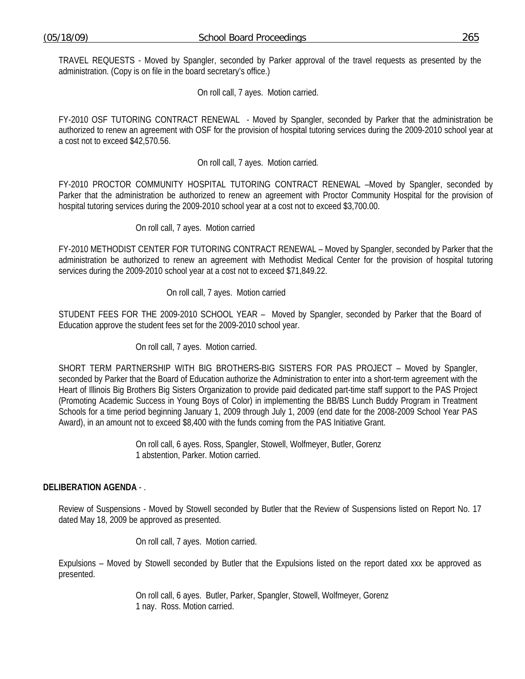TRAVEL REQUESTS - Moved by Spangler, seconded by Parker approval of the travel requests as presented by the administration. (Copy is on file in the board secretary's office.)

On roll call, 7 ayes. Motion carried.

FY-2010 OSF TUTORING CONTRACT RENEWAL - Moved by Spangler, seconded by Parker that the administration be authorized to renew an agreement with OSF for the provision of hospital tutoring services during the 2009-2010 school year at a cost not to exceed \$42,570.56.

On roll call, 7 ayes. Motion carried*.*

FY-2010 PROCTOR COMMUNITY HOSPITAL TUTORING CONTRACT RENEWAL –Moved by Spangler, seconded by Parker that the administration be authorized to renew an agreement with Proctor Community Hospital for the provision of hospital tutoring services during the 2009-2010 school year at a cost not to exceed \$3,700.00.

On roll call, 7 ayes. Motion carried

FY-2010 METHODIST CENTER FOR TUTORING CONTRACT RENEWAL – Moved by Spangler, seconded by Parker that the administration be authorized to renew an agreement with Methodist Medical Center for the provision of hospital tutoring services during the 2009-2010 school year at a cost not to exceed \$71,849.22.

On roll call, 7 ayes. Motion carried

STUDENT FEES FOR THE 2009-2010 SCHOOL YEAR – Moved by Spangler, seconded by Parker that the Board of Education approve the student fees set for the 2009-2010 school year.

On roll call, 7 ayes. Motion carried.

SHORT TERM PARTNERSHIP WITH BIG BROTHERS-BIG SISTERS FOR PAS PROJECT – Moved by Spangler, seconded by Parker that the Board of Education authorize the Administration to enter into a short-term agreement with the Heart of Illinois Big Brothers Big Sisters Organization to provide paid dedicated part-time staff support to the PAS Project (Promoting Academic Success in Young Boys of Color) in implementing the BB/BS Lunch Buddy Program in Treatment Schools for a time period beginning January 1, 2009 through July 1, 2009 (end date for the 2008-2009 School Year PAS Award), in an amount not to exceed \$8,400 with the funds coming from the PAS Initiative Grant.

> On roll call, 6 ayes. Ross, Spangler, Stowell, Wolfmeyer, Butler, Gorenz 1 abstention, Parker. Motion carried.

# **DELIBERATION AGENDA** - .

Review of Suspensions - Moved by Stowell seconded by Butler that the Review of Suspensions listed on Report No. 17 dated May 18, 2009 be approved as presented.

On roll call, 7 ayes. Motion carried.

Expulsions – Moved by Stowell seconded by Butler that the Expulsions listed on the report dated xxx be approved as presented.

> On roll call, 6 ayes. Butler, Parker, Spangler, Stowell, Wolfmeyer, Gorenz 1 nay. Ross. Motion carried.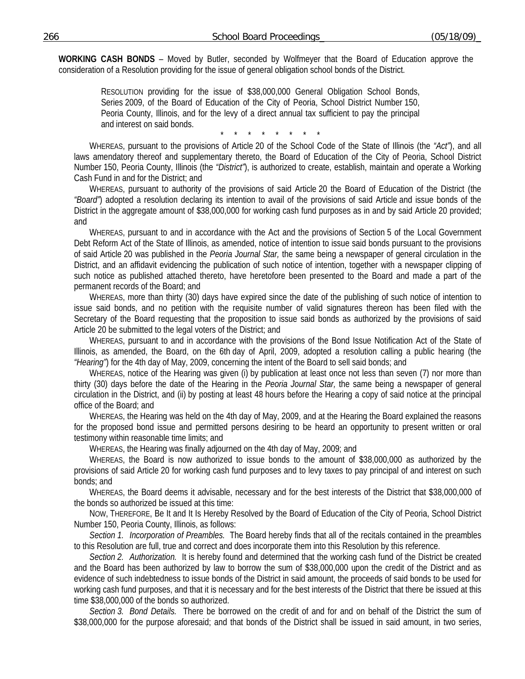**WORKING CASH BONDS** – Moved by Butler, seconded by Wolfmeyer that the Board of Education approve the consideration of a Resolution providing for the issue of general obligation school bonds of the District.

> RESOLUTION providing for the issue of \$38,000,000 General Obligation School Bonds, Series 2009, of the Board of Education of the City of Peoria, School District Number 150, Peoria County, Illinois, and for the levy of a direct annual tax sufficient to pay the principal and interest on said bonds.

\* \* \* \* \* \* \* \*

WHEREAS, pursuant to the provisions of Article 20 of the School Code of the State of Illinois (the *"Act"*), and all laws amendatory thereof and supplementary thereto, the Board of Education of the City of Peoria, School District Number 150, Peoria County, Illinois (the *"District"*), is authorized to create, establish, maintain and operate a Working Cash Fund in and for the District; and

WHEREAS, pursuant to authority of the provisions of said Article 20 the Board of Education of the District (the *"Board"*) adopted a resolution declaring its intention to avail of the provisions of said Article and issue bonds of the District in the aggregate amount of \$38,000,000 for working cash fund purposes as in and by said Article 20 provided; and

WHEREAS, pursuant to and in accordance with the Act and the provisions of Section 5 of the Local Government Debt Reform Act of the State of Illinois, as amended, notice of intention to issue said bonds pursuant to the provisions of said Article 20 was published in the *Peoria Journal Star,* the same being a newspaper of general circulation in the District, and an affidavit evidencing the publication of such notice of intention, together with a newspaper clipping of such notice as published attached thereto, have heretofore been presented to the Board and made a part of the permanent records of the Board; and

WHEREAS, more than thirty (30) days have expired since the date of the publishing of such notice of intention to issue said bonds, and no petition with the requisite number of valid signatures thereon has been filed with the Secretary of the Board requesting that the proposition to issue said bonds as authorized by the provisions of said Article 20 be submitted to the legal voters of the District; and

WHEREAS, pursuant to and in accordance with the provisions of the Bond Issue Notification Act of the State of Illinois, as amended, the Board, on the 6th day of April, 2009, adopted a resolution calling a public hearing (the *"Hearing"*) for the 4th day of May, 2009, concerning the intent of the Board to sell said bonds; and

WHEREAS, notice of the Hearing was given (i) by publication at least once not less than seven (7) nor more than thirty (30) days before the date of the Hearing in the *Peoria Journal Star,* the same being a newspaper of general circulation in the District, and (ii) by posting at least 48 hours before the Hearing a copy of said notice at the principal office of the Board; and

WHEREAS, the Hearing was held on the 4th day of May, 2009, and at the Hearing the Board explained the reasons for the proposed bond issue and permitted persons desiring to be heard an opportunity to present written or oral testimony within reasonable time limits; and

WHEREAS, the Hearing was finally adjourned on the 4th day of May, 2009; and

WHEREAS, the Board is now authorized to issue bonds to the amount of \$38,000,000 as authorized by the provisions of said Article 20 for working cash fund purposes and to levy taxes to pay principal of and interest on such bonds; and

WHEREAS, the Board deems it advisable, necessary and for the best interests of the District that \$38,000,000 of the bonds so authorized be issued at this time:

NOW, THEREFORE, Be It and It Is Hereby Resolved by the Board of Education of the City of Peoria, School District Number 150, Peoria County, Illinois, as follows:

*Section 1. Incorporation of Preambles.* The Board hereby finds that all of the recitals contained in the preambles to this Resolution are full, true and correct and does incorporate them into this Resolution by this reference.

*Section 2. Authorization.* It is hereby found and determined that the working cash fund of the District be created and the Board has been authorized by law to borrow the sum of \$38,000,000 upon the credit of the District and as evidence of such indebtedness to issue bonds of the District in said amount, the proceeds of said bonds to be used for working cash fund purposes, and that it is necessary and for the best interests of the District that there be issued at this time \$38,000,000 of the bonds so authorized.

*Section 3. Bond Details.* There be borrowed on the credit of and for and on behalf of the District the sum of \$38,000,000 for the purpose aforesaid; and that bonds of the District shall be issued in said amount, in two series,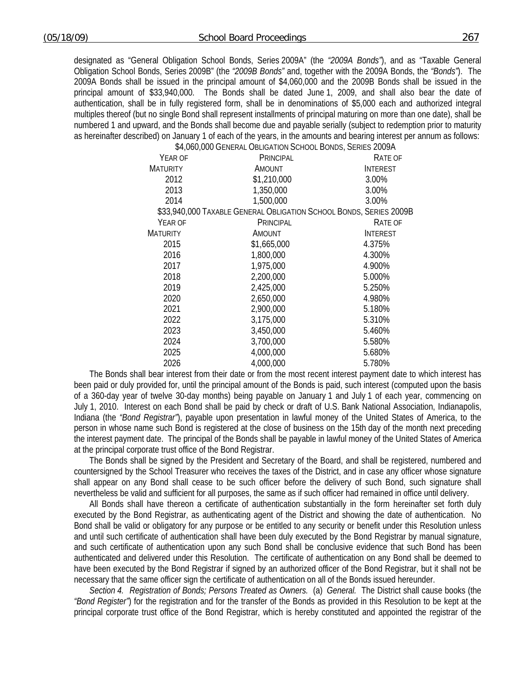designated as "General Obligation School Bonds, Series 2009A" (the *"2009A Bonds"*), and as "Taxable General Obligation School Bonds, Series 2009B" (the *"2009B Bonds"* and, together with the 2009A Bonds, the *"Bonds"*). The 2009A Bonds shall be issued in the principal amount of \$4,060,000 and the 2009B Bonds shall be issued in the principal amount of \$33,940,000. The Bonds shall be dated June 1, 2009, and shall also bear the date of authentication, shall be in fully registered form, shall be in denominations of \$5,000 each and authorized integral multiples thereof (but no single Bond shall represent installments of principal maturing on more than one date), shall be numbered 1 and upward, and the Bonds shall become due and payable serially (subject to redemption prior to maturity as hereinafter described) on January 1 of each of the years, in the amounts and bearing interest per annum as follows:

\$4,060,000 GENERAL OBLIGATION SCHOOL BONDS, SERIES 2009A YEAR OF **MATURITY** PRINCIPAL AMOUNT RATE OF INTEREST 2012 \$1,210,000 3.00% 2013 1,350,000 3.00% 2014 1,500,000 3.00% \$33,940,000 TAXABLE GENERAL OBLIGATION SCHOOL BONDS, SERIES 2009B YEAR OF **MATURITY PRINCIPAL** AMOUNT RATE OF INTEREST 2015 \$1,665,000 4.375% 2016 1,800,000 4.300% 2017 1,975,000 4.900% 2018 2,200,000 5.000% 2019 2,425,000 5.250% 2020 2,650,000 4.980% 2021 2,900,000 5.180% 2022 3,175,000 5.310% 2023 3,450,000 5.460% 2024 3,700,000 5.580% 2025 4,000,000 5.680% 2026 4,000,000 5.780%

The Bonds shall bear interest from their date or from the most recent interest payment date to which interest has been paid or duly provided for, until the principal amount of the Bonds is paid, such interest (computed upon the basis of a 360-day year of twelve 30-day months) being payable on January 1 and July 1 of each year, commencing on July 1, 2010. Interest on each Bond shall be paid by check or draft of U.S. Bank National Association, Indianapolis, Indiana (the *"Bond Registrar"*), payable upon presentation in lawful money of the United States of America, to the person in whose name such Bond is registered at the close of business on the 15th day of the month next preceding the interest payment date. The principal of the Bonds shall be payable in lawful money of the United States of America at the principal corporate trust office of the Bond Registrar.

The Bonds shall be signed by the President and Secretary of the Board, and shall be registered, numbered and countersigned by the School Treasurer who receives the taxes of the District, and in case any officer whose signature shall appear on any Bond shall cease to be such officer before the delivery of such Bond, such signature shall nevertheless be valid and sufficient for all purposes, the same as if such officer had remained in office until delivery.

All Bonds shall have thereon a certificate of authentication substantially in the form hereinafter set forth duly executed by the Bond Registrar, as authenticating agent of the District and showing the date of authentication. No Bond shall be valid or obligatory for any purpose or be entitled to any security or benefit under this Resolution unless and until such certificate of authentication shall have been duly executed by the Bond Registrar by manual signature, and such certificate of authentication upon any such Bond shall be conclusive evidence that such Bond has been authenticated and delivered under this Resolution. The certificate of authentication on any Bond shall be deemed to have been executed by the Bond Registrar if signed by an authorized officer of the Bond Registrar, but it shall not be necessary that the same officer sign the certificate of authentication on all of the Bonds issued hereunder.

*Section 4. Registration of Bonds; Persons Treated as Owners.* (a) *General.* The District shall cause books (the *"Bond Register"*) for the registration and for the transfer of the Bonds as provided in this Resolution to be kept at the principal corporate trust office of the Bond Registrar, which is hereby constituted and appointed the registrar of the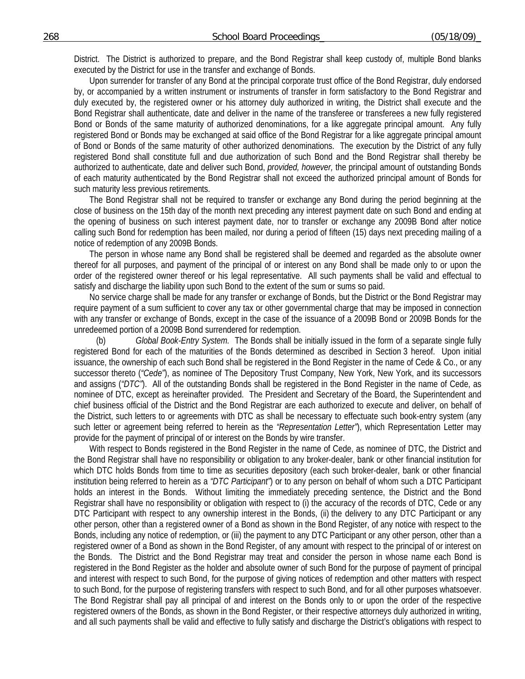District. The District is authorized to prepare, and the Bond Registrar shall keep custody of, multiple Bond blanks executed by the District for use in the transfer and exchange of Bonds.

Upon surrender for transfer of any Bond at the principal corporate trust office of the Bond Registrar, duly endorsed by, or accompanied by a written instrument or instruments of transfer in form satisfactory to the Bond Registrar and duly executed by, the registered owner or his attorney duly authorized in writing, the District shall execute and the Bond Registrar shall authenticate, date and deliver in the name of the transferee or transferees a new fully registered Bond or Bonds of the same maturity of authorized denominations, for a like aggregate principal amount. Any fully registered Bond or Bonds may be exchanged at said office of the Bond Registrar for a like aggregate principal amount of Bond or Bonds of the same maturity of other authorized denominations. The execution by the District of any fully registered Bond shall constitute full and due authorization of such Bond and the Bond Registrar shall thereby be authorized to authenticate, date and deliver such Bond, *provided, however,* the principal amount of outstanding Bonds of each maturity authenticated by the Bond Registrar shall not exceed the authorized principal amount of Bonds for such maturity less previous retirements.

The Bond Registrar shall not be required to transfer or exchange any Bond during the period beginning at the close of business on the 15th day of the month next preceding any interest payment date on such Bond and ending at the opening of business on such interest payment date, nor to transfer or exchange any 2009B Bond after notice calling such Bond for redemption has been mailed, nor during a period of fifteen (15) days next preceding mailing of a notice of redemption of any 2009B Bonds.

The person in whose name any Bond shall be registered shall be deemed and regarded as the absolute owner thereof for all purposes, and payment of the principal of or interest on any Bond shall be made only to or upon the order of the registered owner thereof or his legal representative. All such payments shall be valid and effectual to satisfy and discharge the liability upon such Bond to the extent of the sum or sums so paid.

No service charge shall be made for any transfer or exchange of Bonds, but the District or the Bond Registrar may require payment of a sum sufficient to cover any tax or other governmental charge that may be imposed in connection with any transfer or exchange of Bonds, except in the case of the issuance of a 2009B Bond or 2009B Bonds for the unredeemed portion of a 2009B Bond surrendered for redemption.

 (b) *Global Book-Entry System.* The Bonds shall be initially issued in the form of a separate single fully registered Bond for each of the maturities of the Bonds determined as described in Section 3 hereof. Upon initial issuance, the ownership of each such Bond shall be registered in the Bond Register in the name of Cede & Co., or any successor thereto (*"Cede"*), as nominee of The Depository Trust Company, New York, New York, and its successors and assigns (*"DTC"*). All of the outstanding Bonds shall be registered in the Bond Register in the name of Cede, as nominee of DTC, except as hereinafter provided. The President and Secretary of the Board, the Superintendent and chief business official of the District and the Bond Registrar are each authorized to execute and deliver, on behalf of the District, such letters to or agreements with DTC as shall be necessary to effectuate such book-entry system (any such letter or agreement being referred to herein as the *"Representation Letter"*), which Representation Letter may provide for the payment of principal of or interest on the Bonds by wire transfer.

With respect to Bonds registered in the Bond Register in the name of Cede, as nominee of DTC, the District and the Bond Registrar shall have no responsibility or obligation to any broker-dealer, bank or other financial institution for which DTC holds Bonds from time to time as securities depository (each such broker-dealer, bank or other financial institution being referred to herein as a *"DTC Participant"*) or to any person on behalf of whom such a DTC Participant holds an interest in the Bonds. Without limiting the immediately preceding sentence, the District and the Bond Registrar shall have no responsibility or obligation with respect to (i) the accuracy of the records of DTC, Cede or any DTC Participant with respect to any ownership interest in the Bonds, (ii) the delivery to any DTC Participant or any other person, other than a registered owner of a Bond as shown in the Bond Register, of any notice with respect to the Bonds, including any notice of redemption, or (iii) the payment to any DTC Participant or any other person, other than a registered owner of a Bond as shown in the Bond Register, of any amount with respect to the principal of or interest on the Bonds. The District and the Bond Registrar may treat and consider the person in whose name each Bond is registered in the Bond Register as the holder and absolute owner of such Bond for the purpose of payment of principal and interest with respect to such Bond, for the purpose of giving notices of redemption and other matters with respect to such Bond, for the purpose of registering transfers with respect to such Bond, and for all other purposes whatsoever. The Bond Registrar shall pay all principal of and interest on the Bonds only to or upon the order of the respective registered owners of the Bonds, as shown in the Bond Register, or their respective attorneys duly authorized in writing, and all such payments shall be valid and effective to fully satisfy and discharge the District's obligations with respect to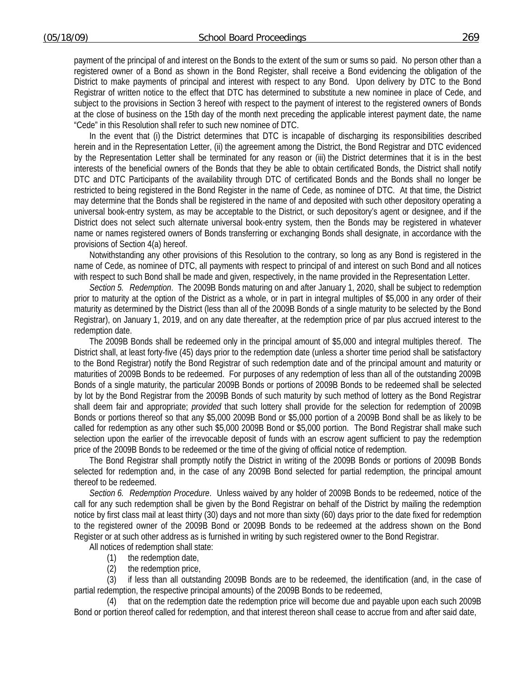payment of the principal of and interest on the Bonds to the extent of the sum or sums so paid. No person other than a registered owner of a Bond as shown in the Bond Register, shall receive a Bond evidencing the obligation of the District to make payments of principal and interest with respect to any Bond. Upon delivery by DTC to the Bond Registrar of written notice to the effect that DTC has determined to substitute a new nominee in place of Cede, and subject to the provisions in Section 3 hereof with respect to the payment of interest to the registered owners of Bonds at the close of business on the 15th day of the month next preceding the applicable interest payment date, the name "Cede" in this Resolution shall refer to such new nominee of DTC.

In the event that (i) the District determines that DTC is incapable of discharging its responsibilities described herein and in the Representation Letter, (ii) the agreement among the District, the Bond Registrar and DTC evidenced by the Representation Letter shall be terminated for any reason or (iii) the District determines that it is in the best interests of the beneficial owners of the Bonds that they be able to obtain certificated Bonds, the District shall notify DTC and DTC Participants of the availability through DTC of certificated Bonds and the Bonds shall no longer be restricted to being registered in the Bond Register in the name of Cede, as nominee of DTC. At that time, the District may determine that the Bonds shall be registered in the name of and deposited with such other depository operating a universal book-entry system, as may be acceptable to the District, or such depository's agent or designee, and if the District does not select such alternate universal book-entry system, then the Bonds may be registered in whatever name or names registered owners of Bonds transferring or exchanging Bonds shall designate, in accordance with the provisions of Section 4(a) hereof.

Notwithstanding any other provisions of this Resolution to the contrary, so long as any Bond is registered in the name of Cede, as nominee of DTC, all payments with respect to principal of and interest on such Bond and all notices with respect to such Bond shall be made and given, respectively, in the name provided in the Representation Letter.

*Section 5. Redemption*. The 2009B Bonds maturing on and after January 1, 2020, shall be subject to redemption prior to maturity at the option of the District as a whole, or in part in integral multiples of \$5,000 in any order of their maturity as determined by the District (less than all of the 2009B Bonds of a single maturity to be selected by the Bond Registrar), on January 1, 2019, and on any date thereafter, at the redemption price of par plus accrued interest to the redemption date.

The 2009B Bonds shall be redeemed only in the principal amount of \$5,000 and integral multiples thereof. The District shall, at least forty-five (45) days prior to the redemption date (unless a shorter time period shall be satisfactory to the Bond Registrar) notify the Bond Registrar of such redemption date and of the principal amount and maturity or maturities of 2009B Bonds to be redeemed. For purposes of any redemption of less than all of the outstanding 2009B Bonds of a single maturity, the particular 2009B Bonds or portions of 2009B Bonds to be redeemed shall be selected by lot by the Bond Registrar from the 2009B Bonds of such maturity by such method of lottery as the Bond Registrar shall deem fair and appropriate; *provided* that such lottery shall provide for the selection for redemption of 2009B Bonds or portions thereof so that any \$5,000 2009B Bond or \$5,000 portion of a 2009B Bond shall be as likely to be called for redemption as any other such \$5,000 2009B Bond or \$5,000 portion. The Bond Registrar shall make such selection upon the earlier of the irrevocable deposit of funds with an escrow agent sufficient to pay the redemption price of the 2009B Bonds to be redeemed or the time of the giving of official notice of redemption.

The Bond Registrar shall promptly notify the District in writing of the 2009B Bonds or portions of 2009B Bonds selected for redemption and, in the case of any 2009B Bond selected for partial redemption, the principal amount thereof to be redeemed.

*Section 6. Redemption Procedure*. Unless waived by any holder of 2009B Bonds to be redeemed, notice of the call for any such redemption shall be given by the Bond Registrar on behalf of the District by mailing the redemption notice by first class mail at least thirty (30) days and not more than sixty (60) days prior to the date fixed for redemption to the registered owner of the 2009B Bond or 2009B Bonds to be redeemed at the address shown on the Bond Register or at such other address as is furnished in writing by such registered owner to the Bond Registrar.

All notices of redemption shall state:

- (1) the redemption date,
- (2) the redemption price,

 (3) if less than all outstanding 2009B Bonds are to be redeemed, the identification (and, in the case of partial redemption, the respective principal amounts) of the 2009B Bonds to be redeemed,

 (4) that on the redemption date the redemption price will become due and payable upon each such 2009B Bond or portion thereof called for redemption, and that interest thereon shall cease to accrue from and after said date,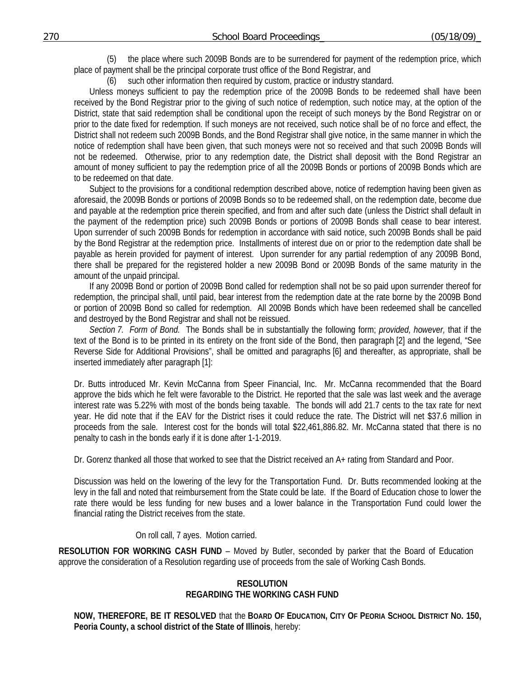(5) the place where such 2009B Bonds are to be surrendered for payment of the redemption price, which place of payment shall be the principal corporate trust office of the Bond Registrar, and

(6) such other information then required by custom, practice or industry standard.

Unless moneys sufficient to pay the redemption price of the 2009B Bonds to be redeemed shall have been received by the Bond Registrar prior to the giving of such notice of redemption, such notice may, at the option of the District, state that said redemption shall be conditional upon the receipt of such moneys by the Bond Registrar on or prior to the date fixed for redemption. If such moneys are not received, such notice shall be of no force and effect, the District shall not redeem such 2009B Bonds, and the Bond Registrar shall give notice, in the same manner in which the notice of redemption shall have been given, that such moneys were not so received and that such 2009B Bonds will not be redeemed. Otherwise, prior to any redemption date, the District shall deposit with the Bond Registrar an amount of money sufficient to pay the redemption price of all the 2009B Bonds or portions of 2009B Bonds which are to be redeemed on that date.

Subject to the provisions for a conditional redemption described above, notice of redemption having been given as aforesaid, the 2009B Bonds or portions of 2009B Bonds so to be redeemed shall, on the redemption date, become due and payable at the redemption price therein specified, and from and after such date (unless the District shall default in the payment of the redemption price) such 2009B Bonds or portions of 2009B Bonds shall cease to bear interest. Upon surrender of such 2009B Bonds for redemption in accordance with said notice, such 2009B Bonds shall be paid by the Bond Registrar at the redemption price. Installments of interest due on or prior to the redemption date shall be payable as herein provided for payment of interest. Upon surrender for any partial redemption of any 2009B Bond, there shall be prepared for the registered holder a new 2009B Bond or 2009B Bonds of the same maturity in the amount of the unpaid principal.

If any 2009B Bond or portion of 2009B Bond called for redemption shall not be so paid upon surrender thereof for redemption, the principal shall, until paid, bear interest from the redemption date at the rate borne by the 2009B Bond or portion of 2009B Bond so called for redemption. All 2009B Bonds which have been redeemed shall be cancelled and destroyed by the Bond Registrar and shall not be reissued.

*Section 7. Form of Bond.* The Bonds shall be in substantially the following form; *provided, however,* that if the text of the Bond is to be printed in its entirety on the front side of the Bond, then paragraph [2] and the legend, "See Reverse Side for Additional Provisions", shall be omitted and paragraphs [6] and thereafter, as appropriate, shall be inserted immediately after paragraph [1]:

Dr. Butts introduced Mr. Kevin McCanna from Speer Financial, Inc. Mr. McCanna recommended that the Board approve the bids which he felt were favorable to the District. He reported that the sale was last week and the average interest rate was 5.22% with most of the bonds being taxable. The bonds will add 21.7 cents to the tax rate for next year. He did note that if the EAV for the District rises it could reduce the rate. The District will net \$37.6 million in proceeds from the sale. Interest cost for the bonds will total \$22,461,886.82. Mr. McCanna stated that there is no penalty to cash in the bonds early if it is done after 1-1-2019.

Dr. Gorenz thanked all those that worked to see that the District received an A+ rating from Standard and Poor.

Discussion was held on the lowering of the levy for the Transportation Fund. Dr. Butts recommended looking at the levy in the fall and noted that reimbursement from the State could be late. If the Board of Education chose to lower the rate there would be less funding for new buses and a lower balance in the Transportation Fund could lower the financial rating the District receives from the state.

#### On roll call, 7 ayes. Motion carried.

**RESOLUTION FOR WORKING CASH FUND** – Moved by Butler, seconded by parker that the Board of Education approve the consideration of a Resolution regarding use of proceeds from the sale of Working Cash Bonds.

#### **RESOLUTION REGARDING THE WORKING CASH FUND**

**NOW, THEREFORE, BE IT RESOLVED** that the **BOARD OF EDUCATION, CITY OF PEORIA SCHOOL DISTRICT NO. 150, Peoria County, a school district of the State of Illinois**, hereby: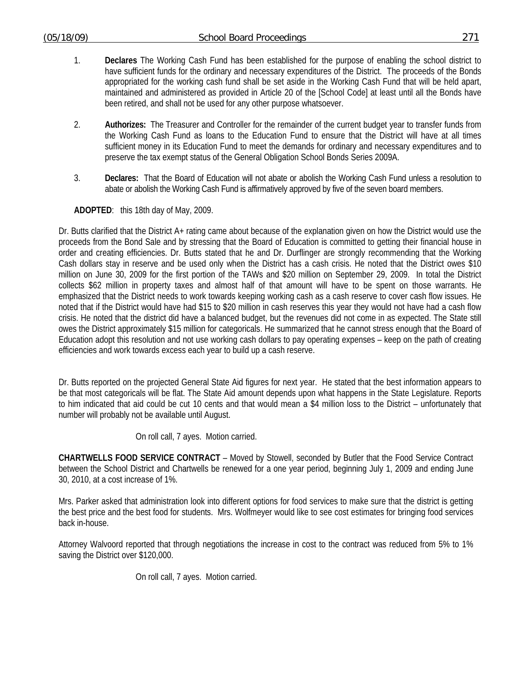- 1. **Declares** The Working Cash Fund has been established for the purpose of enabling the school district to have sufficient funds for the ordinary and necessary expenditures of the District. The proceeds of the Bonds appropriated for the working cash fund shall be set aside in the Working Cash Fund that will be held apart, maintained and administered as provided in Article 20 of the [School Code] at least until all the Bonds have been retired, and shall not be used for any other purpose whatsoever.
- 2. **Authorizes:** The Treasurer and Controller for the remainder of the current budget year to transfer funds from the Working Cash Fund as loans to the Education Fund to ensure that the District will have at all times sufficient money in its Education Fund to meet the demands for ordinary and necessary expenditures and to preserve the tax exempt status of the General Obligation School Bonds Series 2009A.
- 3. **Declares:** That the Board of Education will not abate or abolish the Working Cash Fund unless a resolution to abate or abolish the Working Cash Fund is affirmatively approved by five of the seven board members.

**ADOPTED**: this 18th day of May, 2009.

Dr. Butts clarified that the District A+ rating came about because of the explanation given on how the District would use the proceeds from the Bond Sale and by stressing that the Board of Education is committed to getting their financial house in order and creating efficiencies. Dr. Butts stated that he and Dr. Durflinger are strongly recommending that the Working Cash dollars stay in reserve and be used only when the District has a cash crisis. He noted that the District owes \$10 million on June 30, 2009 for the first portion of the TAWs and \$20 million on September 29, 2009. In total the District collects \$62 million in property taxes and almost half of that amount will have to be spent on those warrants. He emphasized that the District needs to work towards keeping working cash as a cash reserve to cover cash flow issues. He noted that if the District would have had \$15 to \$20 million in cash reserves this year they would not have had a cash flow crisis. He noted that the district did have a balanced budget, but the revenues did not come in as expected. The State still owes the District approximately \$15 million for categoricals. He summarized that he cannot stress enough that the Board of Education adopt this resolution and not use working cash dollars to pay operating expenses – keep on the path of creating efficiencies and work towards excess each year to build up a cash reserve.

Dr. Butts reported on the projected General State Aid figures for next year. He stated that the best information appears to be that most categoricals will be flat. The State Aid amount depends upon what happens in the State Legislature. Reports to him indicated that aid could be cut 10 cents and that would mean a \$4 million loss to the District – unfortunately that number will probably not be available until August.

On roll call, 7 ayes. Motion carried.

**CHARTWELLS FOOD SERVICE CONTRACT** – Moved by Stowell, seconded by Butler that the Food Service Contract between the School District and Chartwells be renewed for a one year period, beginning July 1, 2009 and ending June 30, 2010, at a cost increase of 1%.

Mrs. Parker asked that administration look into different options for food services to make sure that the district is getting the best price and the best food for students. Mrs. Wolfmeyer would like to see cost estimates for bringing food services back in-house.

Attorney Walvoord reported that through negotiations the increase in cost to the contract was reduced from 5% to 1% saving the District over \$120,000.

On roll call, 7 ayes. Motion carried.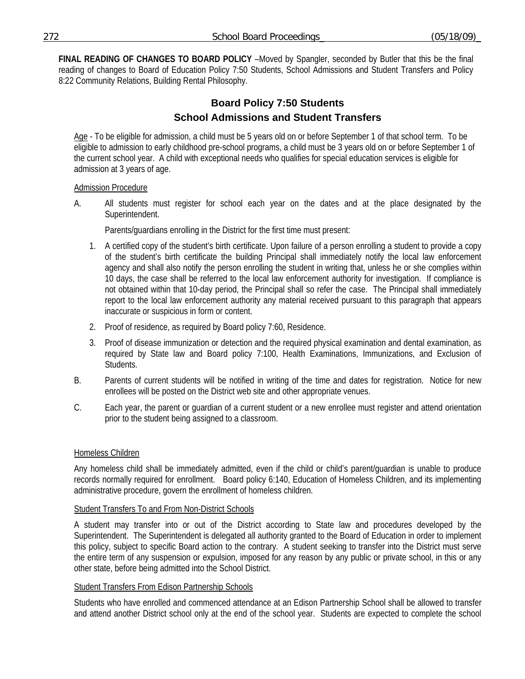**FINAL READING OF CHANGES TO BOARD POLICY** –Moved by Spangler, seconded by Butler that this be the final reading of changes to Board of Education Policy 7:50 Students, School Admissions and Student Transfers and Policy 8:22 Community Relations, Building Rental Philosophy.

# **Board Policy 7:50 Students School Admissions and Student Transfers**

Age - To be eligible for admission, a child must be 5 years old on or before September 1 of that school term. To be eligible to admission to early childhood pre-school programs, a child must be 3 years old on or before September 1 of the current school year. A child with exceptional needs who qualifies for special education services is eligible for admission at 3 years of age.

# Admission Procedure

A. All students must register for school each year on the dates and at the place designated by the Superintendent.

Parents/guardians enrolling in the District for the first time must present:

- 1. A certified copy of the student's birth certificate. Upon failure of a person enrolling a student to provide a copy of the student's birth certificate the building Principal shall immediately notify the local law enforcement agency and shall also notify the person enrolling the student in writing that, unless he or she complies within 10 days, the case shall be referred to the local law enforcement authority for investigation. If compliance is not obtained within that 10-day period, the Principal shall so refer the case. The Principal shall immediately report to the local law enforcement authority any material received pursuant to this paragraph that appears inaccurate or suspicious in form or content.
- 2. Proof of residence, as required by Board policy 7:60, Residence.
- 3. Proof of disease immunization or detection and the required physical examination and dental examination, as required by State law and Board policy 7:100, Health Examinations, Immunizations, and Exclusion of Students.
- B. Parents of current students will be notified in writing of the time and dates for registration. Notice for new enrollees will be posted on the District web site and other appropriate venues.
- C. Each year, the parent or guardian of a current student or a new enrollee must register and attend orientation prior to the student being assigned to a classroom.

# Homeless Children

Any homeless child shall be immediately admitted, even if the child or child's parent/guardian is unable to produce records normally required for enrollment. Board policy 6:140, Education of Homeless Children, and its implementing administrative procedure, govern the enrollment of homeless children.

# Student Transfers To and From Non-District Schools

A student may transfer into or out of the District according to State law and procedures developed by the Superintendent. The Superintendent is delegated all authority granted to the Board of Education in order to implement this policy, subject to specific Board action to the contrary. A student seeking to transfer into the District must serve the entire term of any suspension or expulsion, imposed for any reason by any public or private school, in this or any other state, before being admitted into the School District.

# Student Transfers From Edison Partnership Schools

Students who have enrolled and commenced attendance at an Edison Partnership School shall be allowed to transfer and attend another District school only at the end of the school year. Students are expected to complete the school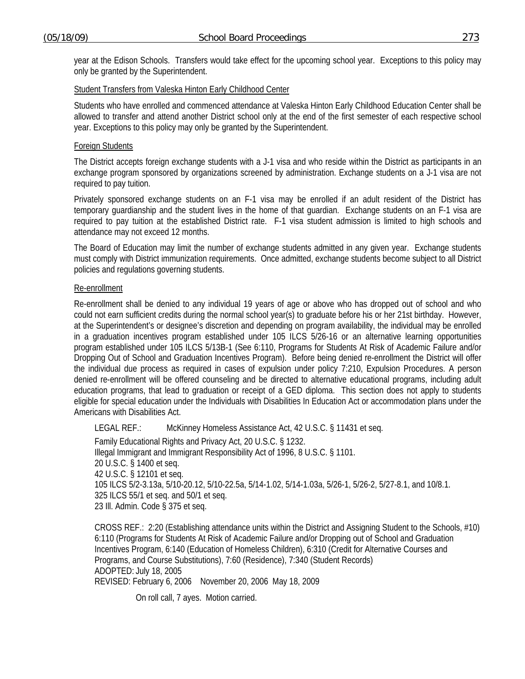year at the Edison Schools. Transfers would take effect for the upcoming school year. Exceptions to this policy may only be granted by the Superintendent.

### Student Transfers from Valeska Hinton Early Childhood Center

Students who have enrolled and commenced attendance at Valeska Hinton Early Childhood Education Center shall be allowed to transfer and attend another District school only at the end of the first semester of each respective school year. Exceptions to this policy may only be granted by the Superintendent.

#### Foreign Students

The District accepts foreign exchange students with a J-1 visa and who reside within the District as participants in an exchange program sponsored by organizations screened by administration. Exchange students on a J-1 visa are not required to pay tuition.

Privately sponsored exchange students on an F-1 visa may be enrolled if an adult resident of the District has temporary guardianship and the student lives in the home of that guardian. Exchange students on an F-1 visa are required to pay tuition at the established District rate. F-1 visa student admission is limited to high schools and attendance may not exceed 12 months.

The Board of Education may limit the number of exchange students admitted in any given year. Exchange students must comply with District immunization requirements. Once admitted, exchange students become subject to all District policies and regulations governing students.

### Re-enrollment

Re-enrollment shall be denied to any individual 19 years of age or above who has dropped out of school and who could not earn sufficient credits during the normal school year(s) to graduate before his or her 21st birthday. However, at the Superintendent's or designee's discretion and depending on program availability, the individual may be enrolled in a graduation incentives program established under 105 ILCS 5/26-16 or an alternative learning opportunities program established under 105 ILCS 5/13B-1 (See 6:110, Programs for Students At Risk of Academic Failure and/or Dropping Out of School and Graduation Incentives Program). Before being denied re-enrollment the District will offer the individual due process as required in cases of expulsion under policy 7:210, Expulsion Procedures. A person denied re-enrollment will be offered counseling and be directed to alternative educational programs, including adult education programs, that lead to graduation or receipt of a GED diploma. This section does not apply to students eligible for special education under the Individuals with Disabilities In Education Act or accommodation plans under the Americans with Disabilities Act.

LEGAL REF.: McKinney Homeless Assistance Act, 42 U.S.C. § 11431 et seq.

Family Educational Rights and Privacy Act, 20 U.S.C. § 1232. Illegal Immigrant and Immigrant Responsibility Act of 1996, 8 U.S.C. § 1101. 20 U.S.C. § 1400 et seq. 42 U.S.C. § 12101 et seq. 105 ILCS 5/2-3.13a, 5/10-20.12, 5/10-22.5a, 5/14-1.02, 5/14-1.03a, 5/26-1, 5/26-2, 5/27-8.1, and 10/8.1. 325 ILCS 55/1 et seq. and 50/1 et seq. 23 Ill. Admin. Code § 375 et seq.

CROSS REF.: 2:20 (Establishing attendance units within the District and Assigning Student to the Schools, #10) 6:110 (Programs for Students At Risk of Academic Failure and/or Dropping out of School and Graduation Incentives Program, 6:140 (Education of Homeless Children), 6:310 (Credit for Alternative Courses and Programs, and Course Substitutions), 7:60 (Residence), 7:340 (Student Records) ADOPTED: July 18, 2005 REVISED: February 6, 2006 November 20, 2006 May 18, 2009

On roll call, 7 ayes. Motion carried.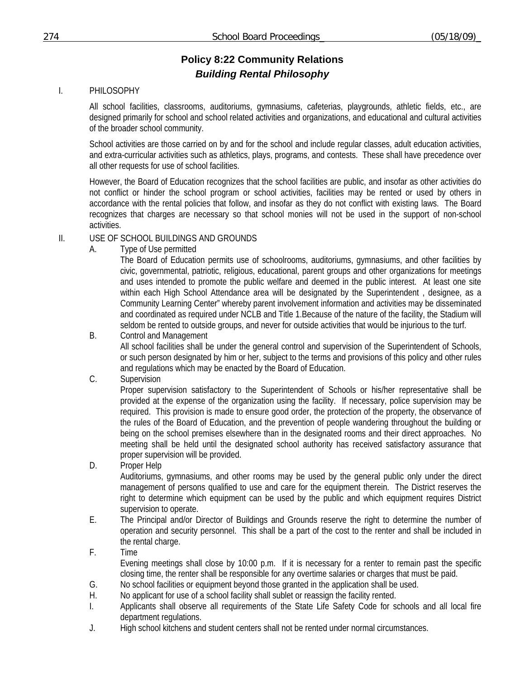# **Policy 8:22 Community Relations**  *Building Rental Philosophy*

# I. PHILOSOPHY

All school facilities, classrooms, auditoriums, gymnasiums, cafeterias, playgrounds, athletic fields, etc., are designed primarily for school and school related activities and organizations, and educational and cultural activities of the broader school community.

School activities are those carried on by and for the school and include regular classes, adult education activities, and extra-curricular activities such as athletics, plays, programs, and contests. These shall have precedence over all other requests for use of school facilities.

However, the Board of Education recognizes that the school facilities are public, and insofar as other activities do not conflict or hinder the school program or school activities, facilities may be rented or used by others in accordance with the rental policies that follow, and insofar as they do not conflict with existing laws. The Board recognizes that charges are necessary so that school monies will not be used in the support of non-school activities.

# II. USE OF SCHOOL BUILDINGS AND GROUNDS

A. Type of Use permitted

The Board of Education permits use of schoolrooms, auditoriums, gymnasiums, and other facilities by civic, governmental, patriotic, religious, educational, parent groups and other organizations for meetings and uses intended to promote the public welfare and deemed in the public interest. At least one site within each High School Attendance area will be designated by the Superintendent , designee, as a Community Learning Center" whereby parent involvement information and activities may be disseminated and coordinated as required under NCLB and Title 1.Because of the nature of the facility, the Stadium will seldom be rented to outside groups, and never for outside activities that would be injurious to the turf.

B. Control and Management

All school facilities shall be under the general control and supervision of the Superintendent of Schools, or such person designated by him or her, subject to the terms and provisions of this policy and other rules and regulations which may be enacted by the Board of Education.

C. Supervision

Proper supervision satisfactory to the Superintendent of Schools or his/her representative shall be provided at the expense of the organization using the facility. If necessary, police supervision may be required. This provision is made to ensure good order, the protection of the property, the observance of the rules of the Board of Education, and the prevention of people wandering throughout the building or being on the school premises elsewhere than in the designated rooms and their direct approaches. No meeting shall be held until the designated school authority has received satisfactory assurance that proper supervision will be provided.

D. Proper Help

Auditoriums, gymnasiums, and other rooms may be used by the general public only under the direct management of persons qualified to use and care for the equipment therein. The District reserves the right to determine which equipment can be used by the public and which equipment requires District supervision to operate.

- E. The Principal and/or Director of Buildings and Grounds reserve the right to determine the number of operation and security personnel. This shall be a part of the cost to the renter and shall be included in the rental charge.
- F. Time Evening meetings shall close by 10:00 p.m. If it is necessary for a renter to remain past the specific closing time, the renter shall be responsible for any overtime salaries or charges that must be paid.
- G. No school facilities or equipment beyond those granted in the application shall be used.
- H. No applicant for use of a school facility shall sublet or reassign the facility rented.
- I. Applicants shall observe all requirements of the State Life Safety Code for schools and all local fire department regulations.
- J. High school kitchens and student centers shall not be rented under normal circumstances.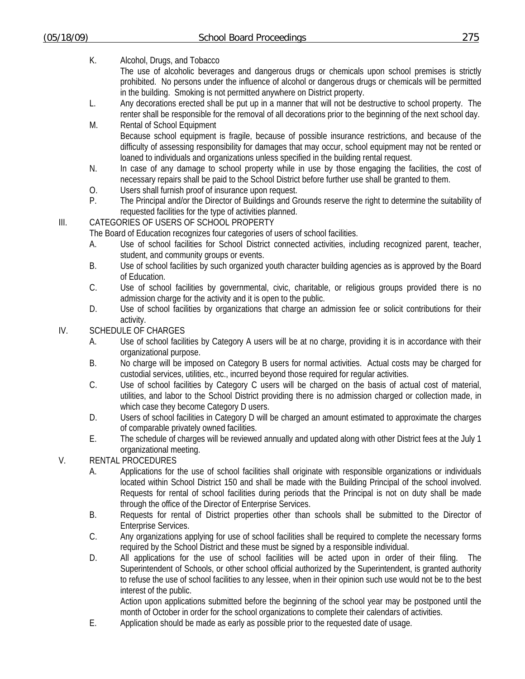K. Alcohol, Drugs, and Tobacco

The use of alcoholic beverages and dangerous drugs or chemicals upon school premises is strictly prohibited. No persons under the influence of alcohol or dangerous drugs or chemicals will be permitted in the building. Smoking is not permitted anywhere on District property.

- L. Any decorations erected shall be put up in a manner that will not be destructive to school property. The renter shall be responsible for the removal of all decorations prior to the beginning of the next school day.
- M. Rental of School Equipment Because school equipment is fragile, because of possible insurance restrictions, and because of the difficulty of assessing responsibility for damages that may occur, school equipment may not be rented or loaned to individuals and organizations unless specified in the building rental request.
- N. In case of any damage to school property while in use by those engaging the facilities, the cost of necessary repairs shall be paid to the School District before further use shall be granted to them.
- O. Users shall furnish proof of insurance upon request.
- P. The Principal and/or the Director of Buildings and Grounds reserve the right to determine the suitability of requested facilities for the type of activities planned.

# III. CATEGORIES OF USERS OF SCHOOL PROPERTY

The Board of Education recognizes four categories of users of school facilities.

- A. Use of school facilities for School District connected activities, including recognized parent, teacher, student, and community groups or events.
- B. Use of school facilities by such organized youth character building agencies as is approved by the Board of Education.
- C. Use of school facilities by governmental, civic, charitable, or religious groups provided there is no admission charge for the activity and it is open to the public.
- D. Use of school facilities by organizations that charge an admission fee or solicit contributions for their activity.

# IV. SCHEDULE OF CHARGES

- A. Use of school facilities by Category A users will be at no charge, providing it is in accordance with their organizational purpose.
- B. No charge will be imposed on Category B users for normal activities. Actual costs may be charged for custodial services, utilities, etc., incurred beyond those required for regular activities.
- C. Use of school facilities by Category C users will be charged on the basis of actual cost of material, utilities, and labor to the School District providing there is no admission charged or collection made, in which case they become Category D users.
- D. Users of school facilities in Category D will be charged an amount estimated to approximate the charges of comparable privately owned facilities.
- E. The schedule of charges will be reviewed annually and updated along with other District fees at the July 1 organizational meeting.

# V. RENTAL PROCEDURES

- A. Applications for the use of school facilities shall originate with responsible organizations or individuals located within School District 150 and shall be made with the Building Principal of the school involved. Requests for rental of school facilities during periods that the Principal is not on duty shall be made through the office of the Director of Enterprise Services.
- B. Requests for rental of District properties other than schools shall be submitted to the Director of Enterprise Services.
- C. Any organizations applying for use of school facilities shall be required to complete the necessary forms required by the School District and these must be signed by a responsible individual.
- D. All applications for the use of school facilities will be acted upon in order of their filing. The Superintendent of Schools, or other school official authorized by the Superintendent, is granted authority to refuse the use of school facilities to any lessee, when in their opinion such use would not be to the best interest of the public.

Action upon applications submitted before the beginning of the school year may be postponed until the month of October in order for the school organizations to complete their calendars of activities.

E. Application should be made as early as possible prior to the requested date of usage.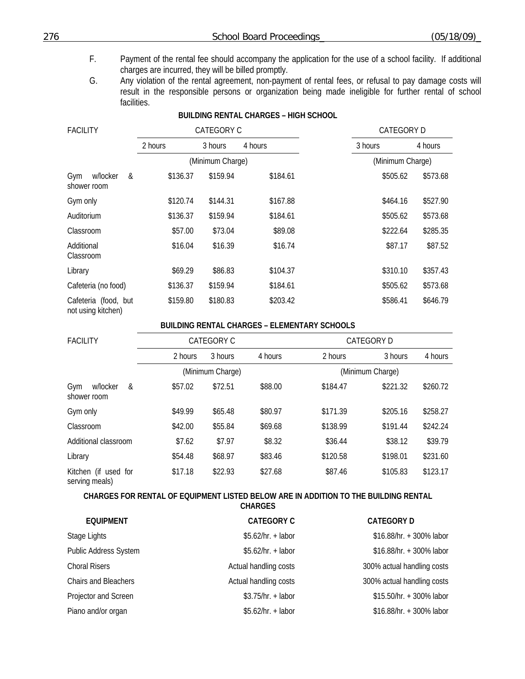- F. Payment of the rental fee should accompany the application for the use of a school facility. If additional charges are incurred, they will be billed promptly.
- G. Any violation of the rental agreement, non-payment of rental fees, or refusal to pay damage costs will result in the responsible persons or organization being made ineligible for further rental of school facilities.

# **BUILDING RENTAL CHARGES – HIGH SCHOOL**  FACILITY CATEGORY CONTROLLED TO CATEGORY CONTROLLED A CATEGORY D 2 hours 3 hours 4 hours 3 hours 3 hours 4 hours (Minimum Charge) (Minimum Charge) Gym w/locker & shower room \$136.37 \$159.94 \$184.61 \$505.62 \$573.68 Gym only \$120.74 \$144.31 \$167.88 \$464.16 \$527.90 Auditorium \$136.37 \$159.94 \$184.61 \$505.62 \$573.68 Classroom \$57.00 \$73.04 \$89.08 \$222.64 \$285.35 Additional Classroom \$16.04 \$16.39 \$16.74 \$87.17 \$87.52 Library \$69.29 \$86.83 \$104.37 \$310.10 \$357.43 Cafeteria (no food) \$136.37 \$159.94 \$184.61 \$505.62 \$573.68 Cafeteria (food, but not using kitchen) \$159.80 \$180.83 \$203.42 \$586.41 \$646.79

#### **BUILDING RENTAL CHARGES – ELEMENTARY SCHOOLS**

| <b>FACILITY</b>                        |         | CATEGORY C       |         |          | <b>CATEGORY D</b> |          |
|----------------------------------------|---------|------------------|---------|----------|-------------------|----------|
|                                        | 2 hours | 3 hours          | 4 hours | 2 hours  | 3 hours           | 4 hours  |
|                                        |         | (Minimum Charge) |         |          | (Minimum Charge)  |          |
| Gym<br>w/locker<br>&<br>shower room    | \$57.02 | \$72.51          | \$88.00 | \$184.47 | \$221.32          | \$260.72 |
| Gym only                               | \$49.99 | \$65.48          | \$80.97 | \$171.39 | \$205.16          | \$258.27 |
| Classroom                              | \$42.00 | \$55.84          | \$69.68 | \$138.99 | \$191.44          | \$242.24 |
| Additional classroom                   | \$7.62  | \$7.97           | \$8.32  | \$36.44  | \$38.12           | \$39.79  |
| Library                                | \$54.48 | \$68.97          | \$83.46 | \$120.58 | \$198.01          | \$231.60 |
| Kitchen (if used for<br>serving meals) | \$17.18 | \$22.93          | \$27.68 | \$87.46  | \$105.83          | \$123.17 |

# **CHARGES FOR RENTAL OF EQUIPMENT LISTED BELOW ARE IN ADDITION TO THE BUILDING RENTAL**

**CHARGES** 

| <b>EQUIPMENT</b>             | <b>CATEGORY C</b>     | <b>CATEGORY D</b>          |
|------------------------------|-----------------------|----------------------------|
| Stage Lights                 | $$5.62/hr. + labor$   | \$16.88/hr. + 300% labor   |
| <b>Public Address System</b> | $$5.62/hr. + labor$   | \$16.88/hr. + 300% labor   |
| <b>Choral Risers</b>         | Actual handling costs | 300% actual handling costs |
| Chairs and Bleachers         | Actual handling costs | 300% actual handling costs |
| Projector and Screen         | $$3.75/hr. + labor$   | \$15.50/hr. + 300% labor   |
| Piano and/or organ           | $$5.62/hr. + labor$   | \$16.88/hr. + 300% labor   |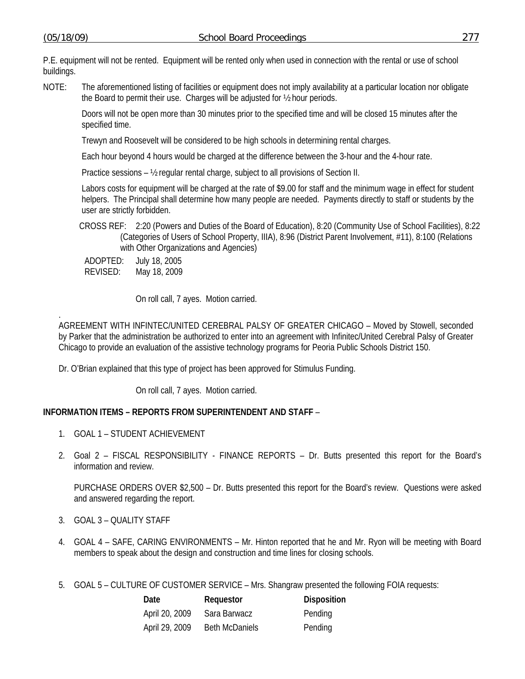P.E. equipment will not be rented. Equipment will be rented only when used in connection with the rental or use of school buildings.

NOTE: The aforementioned listing of facilities or equipment does not imply availability at a particular location nor obligate the Board to permit their use. Charges will be adjusted for ½ hour periods.

Doors will not be open more than 30 minutes prior to the specified time and will be closed 15 minutes after the specified time.

Trewyn and Roosevelt will be considered to be high schools in determining rental charges.

Each hour beyond 4 hours would be charged at the difference between the 3-hour and the 4-hour rate.

Practice sessions – ½ regular rental charge, subject to all provisions of Section II.

Labors costs for equipment will be charged at the rate of \$9.00 for staff and the minimum wage in effect for student helpers. The Principal shall determine how many people are needed. Payments directly to staff or students by the user are strictly forbidden.

CROSS REF: 2:20 (Powers and Duties of the Board of Education), 8:20 (Community Use of School Facilities), 8:22 (Categories of Users of School Property, IIIA), 8:96 (District Parent Involvement, #11), 8:100 (Relations with Other Organizations and Agencies)

ADOPTED: July 18, 2005 REVISED: May 18, 2009

On roll call, 7 ayes. Motion carried.

. AGREEMENT WITH INFINTEC/UNITED CEREBRAL PALSY OF GREATER CHICAGO – Moved by Stowell, seconded by Parker that the administration be authorized to enter into an agreement with Infinitec/United Cerebral Palsy of Greater Chicago to provide an evaluation of the assistive technology programs for Peoria Public Schools District 150.

Dr. O'Brian explained that this type of project has been approved for Stimulus Funding.

On roll call, 7 ayes. Motion carried.

# **INFORMATION ITEMS – REPORTS FROM SUPERINTENDENT AND STAFF** –

- 1. GOAL 1 STUDENT ACHIEVEMENT
- 2. Goal 2 FISCAL RESPONSIBILITY FINANCE REPORTS Dr. Butts presented this report for the Board's information and review.

 PURCHASE ORDERS OVER \$2,500 – Dr. Butts presented this report for the Board's review. Questions were asked and answered regarding the report.

- 3. GOAL 3 QUALITY STAFF
- 4. GOAL 4 SAFE, CARING ENVIRONMENTS Mr. Hinton reported that he and Mr. Ryon will be meeting with Board members to speak about the design and construction and time lines for closing schools.
- 5. GOAL 5 CULTURE OF CUSTOMER SERVICE Mrs. Shangraw presented the following FOIA requests:

| Date           | Requestor             | <b>Disposition</b> |
|----------------|-----------------------|--------------------|
| April 20, 2009 | Sara Barwacz          | Pending            |
| April 29, 2009 | <b>Beth McDaniels</b> | Pending            |